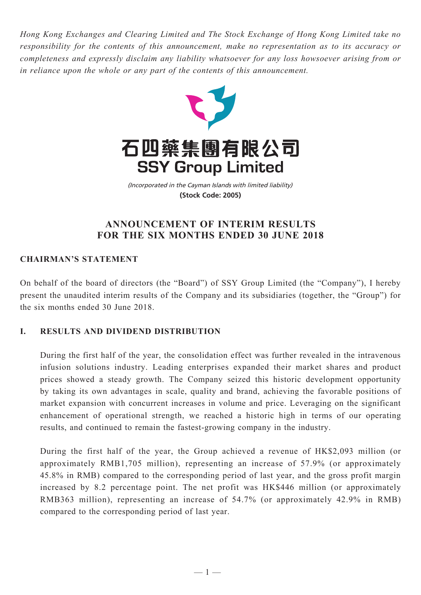*Hong Kong Exchanges and Clearing Limited and The Stock Exchange of Hong Kong Limited take no responsibility for the contents of this announcement, make no representation as to its accuracy or completeness and expressly disclaim any liability whatsoever for any loss howsoever arising from or in reliance upon the whole or any part of the contents of this announcement.*



(Incorporated in the Cayman Islands with limited liability) **(Stock Code: 2005)**

# **ANNOUNCEMENT OF INTERIM RESULTS FOR THE SIX MONTHS ENDED 30 JUNE 2018**

# **CHAIRMAN'S STATEMENT**

On behalf of the board of directors (the "Board") of SSY Group Limited (the "Company"), I hereby present the unaudited interim results of the Company and its subsidiaries (together, the "Group") for the six months ended 30 June 2018.

# **I. Results And Dividend Distribution**

During the first half of the year, the consolidation effect was further revealed in the intravenous infusion solutions industry. Leading enterprises expanded their market shares and product prices showed a steady growth. The Company seized this historic development opportunity by taking its own advantages in scale, quality and brand, achieving the favorable positions of market expansion with concurrent increases in volume and price. Leveraging on the significant enhancement of operational strength, we reached a historic high in terms of our operating results, and continued to remain the fastest-growing company in the industry.

During the first half of the year, the Group achieved a revenue of HK\$2,093 million (or approximately RMB1,705 million), representing an increase of 57.9% (or approximately 45.8% in RMB) compared to the corresponding period of last year, and the gross profit margin increased by 8.2 percentage point. The net profit was HK\$446 million (or approximately RMB363 million), representing an increase of 54.7% (or approximately 42.9% in RMB) compared to the corresponding period of last year.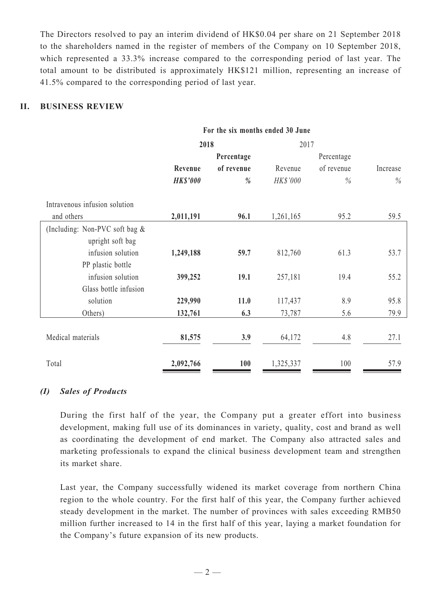The Directors resolved to pay an interim dividend of HK\$0.04 per share on 21 September 2018 to the shareholders named in the register of members of the Company on 10 September 2018, which represented a 33.3% increase compared to the corresponding period of last year. The total amount to be distributed is approximately HK\$121 million, representing an increase of 41.5% compared to the corresponding period of last year.

# **II. Business Review**

|                                | For the six months ended 30 June |            |           |               |          |
|--------------------------------|----------------------------------|------------|-----------|---------------|----------|
|                                | 2018                             |            | 2017      |               |          |
|                                |                                  | Percentage |           | Percentage    |          |
|                                | Revenue                          | of revenue | Revenue   | of revenue    | Increase |
|                                | <b>HK\$'000</b>                  | %          | HK\$'000  | $\frac{0}{0}$ | $\%$     |
| Intravenous infusion solution  |                                  |            |           |               |          |
| and others                     | 2,011,191                        | 96.1       | 1,261,165 | 95.2          | 59.5     |
| (Including: Non-PVC soft bag & |                                  |            |           |               |          |
| upright soft bag               |                                  |            |           |               |          |
| infusion solution              | 1,249,188                        | 59.7       | 812,760   | 61.3          | 53.7     |
| PP plastic bottle              |                                  |            |           |               |          |
| infusion solution              | 399,252                          | 19.1       | 257,181   | 19.4          | 55.2     |
| Glass bottle infusion          |                                  |            |           |               |          |
| solution                       | 229,990                          | 11.0       | 117,437   | 8.9           | 95.8     |
| Others)                        | 132,761                          | 6.3        | 73,787    | 5.6           | 79.9     |
|                                |                                  |            |           |               |          |
| Medical materials              | 81,575                           | 3.9        | 64,172    | 4.8           | 27.1     |
|                                |                                  |            |           |               |          |
| Total                          | 2,092,766                        | 100        | 1,325,337 | 100           | 57.9     |

## *(I) Sales of Products*

During the first half of the year, the Company put a greater effort into business development, making full use of its dominances in variety, quality, cost and brand as well as coordinating the development of end market. The Company also attracted sales and marketing professionals to expand the clinical business development team and strengthen its market share.

Last year, the Company successfully widened its market coverage from northern China region to the whole country. For the first half of this year, the Company further achieved steady development in the market. The number of provinces with sales exceeding RMB50 million further increased to 14 in the first half of this year, laying a market foundation for the Company's future expansion of its new products.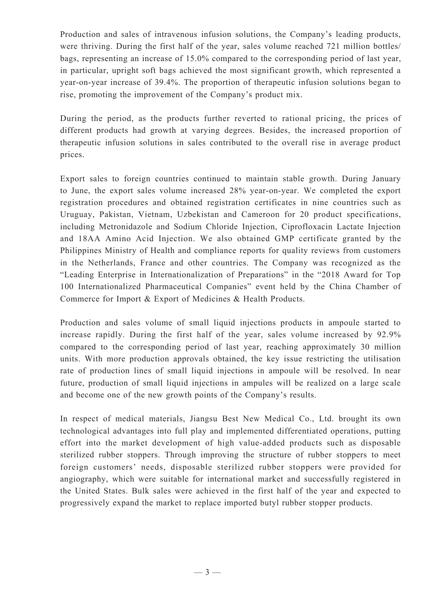Production and sales of intravenous infusion solutions, the Company's leading products, were thriving. During the first half of the year, sales volume reached 721 million bottles/ bags, representing an increase of 15.0% compared to the corresponding period of last year, in particular, upright soft bags achieved the most significant growth, which represented a year-on-year increase of 39.4%. The proportion of therapeutic infusion solutions began to rise, promoting the improvement of the Company's product mix.

During the period, as the products further reverted to rational pricing, the prices of different products had growth at varying degrees. Besides, the increased proportion of therapeutic infusion solutions in sales contributed to the overall rise in average product prices.

Export sales to foreign countries continued to maintain stable growth. During January to June, the export sales volume increased 28% year-on-year. We completed the export registration procedures and obtained registration certificates in nine countries such as Uruguay, Pakistan, Vietnam, Uzbekistan and Cameroon for 20 product specifications, including Metronidazole and Sodium Chloride Injection, Ciprofloxacin Lactate Injection and 18AA Amino Acid Injection. We also obtained GMP certificate granted by the Philippines Ministry of Health and compliance reports for quality reviews from customers in the Netherlands, France and other countries. The Company was recognized as the "Leading Enterprise in Internationalization of Preparations" in the "2018 Award for Top 100 Internationalized Pharmaceutical Companies" event held by the China Chamber of Commerce for Import & Export of Medicines & Health Products.

Production and sales volume of small liquid injections products in ampoule started to increase rapidly. During the first half of the year, sales volume increased by 92.9% compared to the corresponding period of last year, reaching approximately 30 million units. With more production approvals obtained, the key issue restricting the utilisation rate of production lines of small liquid injections in ampoule will be resolved. In near future, production of small liquid injections in ampules will be realized on a large scale and become one of the new growth points of the Company's results.

In respect of medical materials, Jiangsu Best New Medical Co., Ltd. brought its own technological advantages into full play and implemented differentiated operations, putting effort into the market development of high value-added products such as disposable sterilized rubber stoppers. Through improving the structure of rubber stoppers to meet foreign customers' needs, disposable sterilized rubber stoppers were provided for angiography, which were suitable for international market and successfully registered in the United States. Bulk sales were achieved in the first half of the year and expected to progressively expand the market to replace imported butyl rubber stopper products.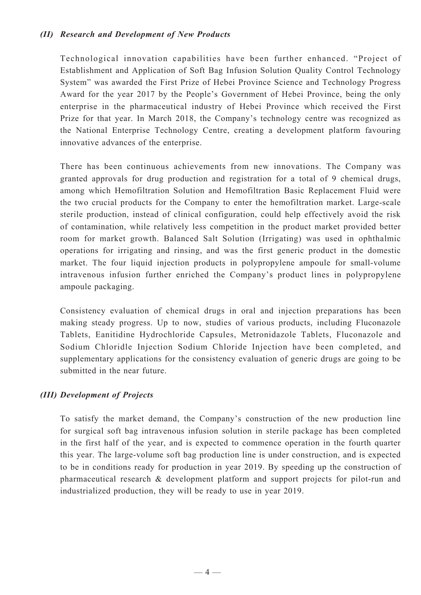# *(II) Research and Development of New Products*

Technological innovation capabilities have been further enhanced. "Project of Establishment and Application of Soft Bag Infusion Solution Quality Control Technology System" was awarded the First Prize of Hebei Province Science and Technology Progress Award for the year 2017 by the People's Government of Hebei Province, being the only enterprise in the pharmaceutical industry of Hebei Province which received the First Prize for that year. In March 2018, the Company's technology centre was recognized as the National Enterprise Technology Centre, creating a development platform favouring innovative advances of the enterprise.

There has been continuous achievements from new innovations. The Company was granted approvals for drug production and registration for a total of 9 chemical drugs, among which Hemofiltration Solution and Hemofiltration Basic Replacement Fluid were the two crucial products for the Company to enter the hemofiltration market. Large-scale sterile production, instead of clinical configuration, could help effectively avoid the risk of contamination, while relatively less competition in the product market provided better room for market growth. Balanced Salt Solution (Irrigating) was used in ophthalmic operations for irrigating and rinsing, and was the first generic product in the domestic market. The four liquid injection products in polypropylene ampoule for small-volume intravenous infusion further enriched the Company's product lines in polypropylene ampoule packaging.

Consistency evaluation of chemical drugs in oral and injection preparations has been making steady progress. Up to now, studies of various products, including Fluconazole Tablets, Eanitidine Hydrochloride Capsules, Metronidazole Tablets, Fluconazole and Sodium Chloridle Injection Sodium Chloride Injection have been completed, and supplementary applications for the consistency evaluation of generic drugs are going to be submitted in the near future.

# *(III) Development of Projects*

To satisfy the market demand, the Company's construction of the new production line for surgical soft bag intravenous infusion solution in sterile package has been completed in the first half of the year, and is expected to commence operation in the fourth quarter this year. The large-volume soft bag production line is under construction, and is expected to be in conditions ready for production in year 2019. By speeding up the construction of pharmaceutical research & development platform and support projects for pilot-run and industrialized production, they will be ready to use in year 2019.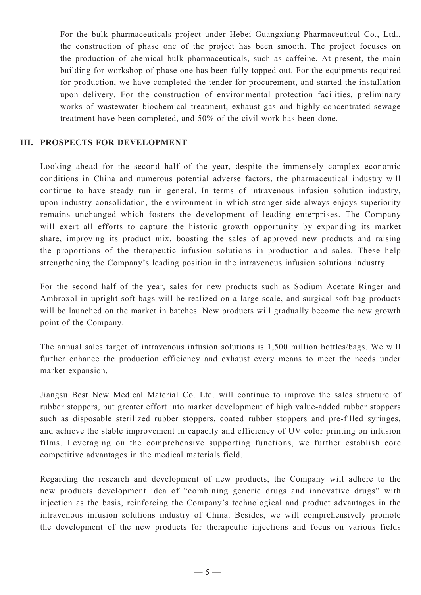For the bulk pharmaceuticals project under Hebei Guangxiang Pharmaceutical Co., Ltd., the construction of phase one of the project has been smooth. The project focuses on the production of chemical bulk pharmaceuticals, such as caffeine. At present, the main building for workshop of phase one has been fully topped out. For the equipments required for production, we have completed the tender for procurement, and started the installation upon delivery. For the construction of environmental protection facilities, preliminary works of wastewater biochemical treatment, exhaust gas and highly-concentrated sewage treatment have been completed, and 50% of the civil work has been done.

### **III. Prospects For Development**

Looking ahead for the second half of the year, despite the immensely complex economic conditions in China and numerous potential adverse factors, the pharmaceutical industry will continue to have steady run in general. In terms of intravenous infusion solution industry, upon industry consolidation, the environment in which stronger side always enjoys superiority remains unchanged which fosters the development of leading enterprises. The Company will exert all efforts to capture the historic growth opportunity by expanding its market share, improving its product mix, boosting the sales of approved new products and raising the proportions of the therapeutic infusion solutions in production and sales. These help strengthening the Company's leading position in the intravenous infusion solutions industry.

For the second half of the year, sales for new products such as Sodium Acetate Ringer and Ambroxol in upright soft bags will be realized on a large scale, and surgical soft bag products will be launched on the market in batches. New products will gradually become the new growth point of the Company.

The annual sales target of intravenous infusion solutions is 1,500 million bottles/bags. We will further enhance the production efficiency and exhaust every means to meet the needs under market expansion.

Jiangsu Best New Medical Material Co. Ltd. will continue to improve the sales structure of rubber stoppers, put greater effort into market development of high value-added rubber stoppers such as disposable sterilized rubber stoppers, coated rubber stoppers and pre-filled syringes, and achieve the stable improvement in capacity and efficiency of UV color printing on infusion films. Leveraging on the comprehensive supporting functions, we further establish core competitive advantages in the medical materials field.

Regarding the research and development of new products, the Company will adhere to the new products development idea of "combining generic drugs and innovative drugs" with injection as the basis, reinforcing the Company's technological and product advantages in the intravenous infusion solutions industry of China. Besides, we will comprehensively promote the development of the new products for therapeutic injections and focus on various fields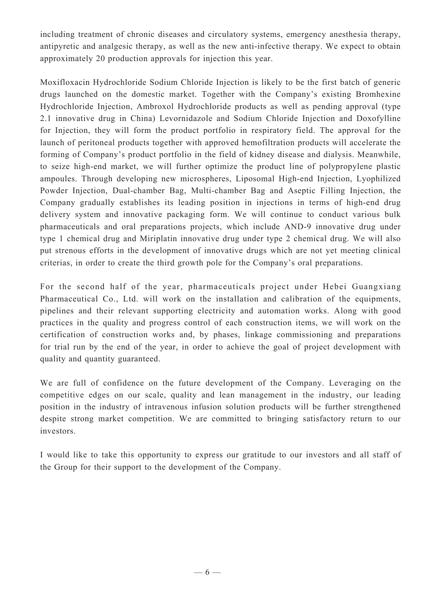including treatment of chronic diseases and circulatory systems, emergency anesthesia therapy, antipyretic and analgesic therapy, as well as the new anti-infective therapy. We expect to obtain approximately 20 production approvals for injection this year.

Moxifloxacin Hydrochloride Sodium Chloride Injection is likely to be the first batch of generic drugs launched on the domestic market. Together with the Company's existing Bromhexine Hydrochloride Injection, Ambroxol Hydrochloride products as well as pending approval (type 2.1 innovative drug in China) Levornidazole and Sodium Chloride Injection and Doxofylline for Injection, they will form the product portfolio in respiratory field. The approval for the launch of peritoneal products together with approved hemofiltration products will accelerate the forming of Company's product portfolio in the field of kidney disease and dialysis. Meanwhile, to seize high-end market, we will further optimize the product line of polypropylene plastic ampoules. Through developing new microspheres, Liposomal High-end Injection, Lyophilized Powder Injection, Dual-chamber Bag, Multi-chamber Bag and Aseptic Filling Injection, the Company gradually establishes its leading position in injections in terms of high-end drug delivery system and innovative packaging form. We will continue to conduct various bulk pharmaceuticals and oral preparations projects, which include AND-9 innovative drug under type 1 chemical drug and Miriplatin innovative drug under type 2 chemical drug. We will also put strenous efforts in the development of innovative drugs which are not yet meeting clinical criterias, in order to create the third growth pole for the Company's oral preparations.

For the second half of the year, pharmaceuticals project under Hebei Guangxiang Pharmaceutical Co., Ltd. will work on the installation and calibration of the equipments, pipelines and their relevant supporting electricity and automation works. Along with good practices in the quality and progress control of each construction items, we will work on the certification of construction works and, by phases, linkage commissioning and preparations for trial run by the end of the year, in order to achieve the goal of project development with quality and quantity guaranteed.

We are full of confidence on the future development of the Company. Leveraging on the competitive edges on our scale, quality and lean management in the industry, our leading position in the industry of intravenous infusion solution products will be further strengthened despite strong market competition. We are committed to bringing satisfactory return to our investors.

I would like to take this opportunity to express our gratitude to our investors and all staff of the Group for their support to the development of the Company.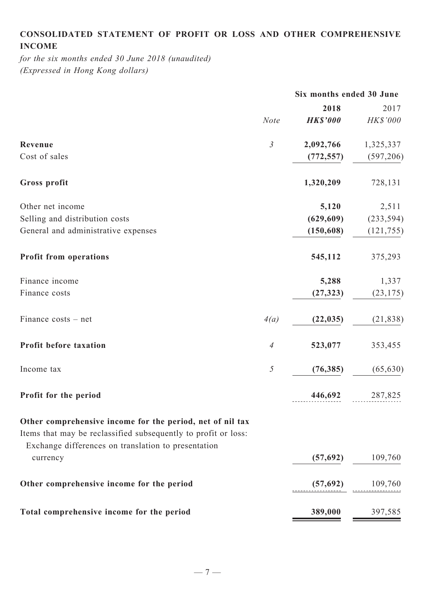# **Consolidated statement of profit or loss and other comprehensive income**

*for the six months ended 30 June 2018 (unaudited) (Expressed in Hong Kong dollars)*

|                | Six months ended 30 June |                 |
|----------------|--------------------------|-----------------|
|                | 2018                     | 2017            |
| <b>Note</b>    | <b>HK\$'000</b>          | <b>HK\$'000</b> |
| $\mathfrak{Z}$ | 2,092,766                | 1,325,337       |
|                | (772, 557)               | (597, 206)      |
|                | 1,320,209                | 728,131         |
|                | 5,120                    | 2,511           |
|                | (629, 609)               | (233, 594)      |
|                | (150, 608)               | (121, 755)      |
|                | 545,112                  | 375,293         |
|                | 5,288                    | 1,337           |
|                | (27, 323)                | (23, 175)       |
| 4(a)           | (22, 035)                | (21, 838)       |
| $\overline{A}$ | 523,077                  | 353,455         |
| 5              | (76, 385)                | (65, 630)       |
|                | 446,692                  | 287,825         |
|                |                          |                 |
|                | (57,692)                 | 109,760         |
|                | (57,692)                 | 109,760         |
|                | 389,000                  | 397,585         |
|                |                          |                 |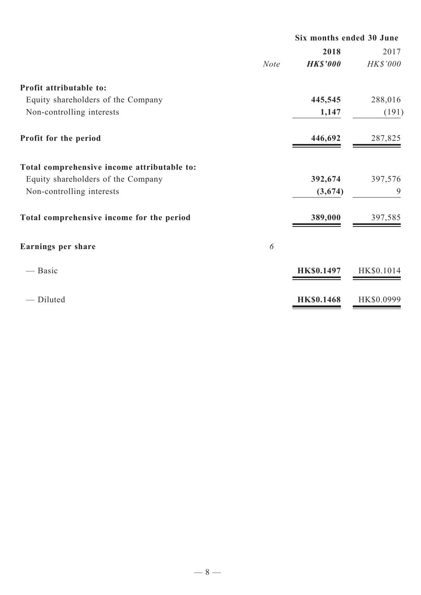|                                             |             | Six months ended 30 June |            |
|---------------------------------------------|-------------|--------------------------|------------|
|                                             |             | 2018                     | 2017       |
|                                             | <b>Note</b> | <b>HK\$'000</b>          | HK\$'000   |
| Profit attributable to:                     |             |                          |            |
| Equity shareholders of the Company          |             | 445,545                  | 288,016    |
| Non-controlling interests                   |             | 1,147                    | (191)      |
| Profit for the period                       |             | 446,692                  | 287,825    |
| Total comprehensive income attributable to: |             |                          |            |
| Equity shareholders of the Company          |             | 392,674                  | 397,576    |
| Non-controlling interests                   |             | (3,674)                  | 9          |
| Total comprehensive income for the period   |             | 389,000                  | 397,585    |
| Earnings per share                          | 6           |                          |            |
| — Basic                                     |             | <b>HK\$0.1497</b>        | HK\$0.1014 |
| - Diluted                                   |             | <b>HK\$0.1468</b>        | HK\$0.0999 |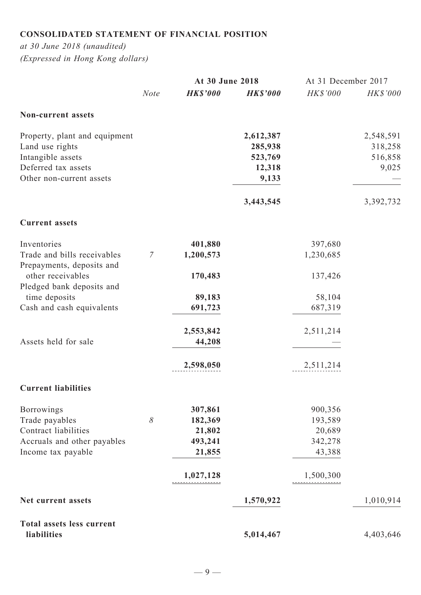# **Consolidated statement of financial position**

*at 30 June 2018 (unaudited) (Expressed in Hong Kong dollars)*

|                                                          |                | At 30 June 2018 |                 | At 31 December 2017 |                 |
|----------------------------------------------------------|----------------|-----------------|-----------------|---------------------|-----------------|
|                                                          | <b>Note</b>    | <b>HK\$'000</b> | <b>HK\$'000</b> | <b>HK\$'000</b>     | <b>HK\$'000</b> |
| <b>Non-current assets</b>                                |                |                 |                 |                     |                 |
| Property, plant and equipment                            |                |                 | 2,612,387       |                     | 2,548,591       |
| Land use rights                                          |                |                 | 285,938         |                     | 318,258         |
| Intangible assets                                        |                |                 | 523,769         |                     | 516,858         |
| Deferred tax assets                                      |                |                 | 12,318          |                     | 9,025           |
| Other non-current assets                                 |                |                 | 9,133           |                     |                 |
|                                                          |                |                 | 3,443,545       |                     | 3,392,732       |
| <b>Current assets</b>                                    |                |                 |                 |                     |                 |
| Inventories                                              |                | 401,880         |                 | 397,680             |                 |
| Trade and bills receivables<br>Prepayments, deposits and | $\overline{7}$ | 1,200,573       |                 | 1,230,685           |                 |
| other receivables                                        |                | 170,483         |                 | 137,426             |                 |
| Pledged bank deposits and<br>time deposits               |                | 89,183          |                 | 58,104              |                 |
| Cash and cash equivalents                                |                | 691,723         |                 | 687,319             |                 |
|                                                          |                | 2,553,842       |                 | 2,511,214           |                 |
| Assets held for sale                                     |                | 44,208          |                 |                     |                 |
|                                                          |                | 2,598,050       |                 | 2,511,214           |                 |
| <b>Current liabilities</b>                               |                |                 |                 |                     |                 |
| <b>Borrowings</b>                                        |                | 307,861         |                 | 900,356             |                 |
| Trade payables                                           | 8              | 182,369         |                 | 193,589             |                 |
| Contract liabilities                                     |                | 21,802          |                 | 20,689              |                 |
| Accruals and other payables                              |                | 493,241         |                 | 342,278             |                 |
| Income tax payable                                       |                | 21,855          |                 | 43,388              |                 |
|                                                          |                | 1,027,128       |                 | 1,500,300           |                 |
| Net current assets                                       |                |                 | 1,570,922       |                     | 1,010,914       |
| <b>Total assets less current</b>                         |                |                 |                 |                     |                 |
| liabilities                                              |                |                 | 5,014,467       |                     | 4,403,646       |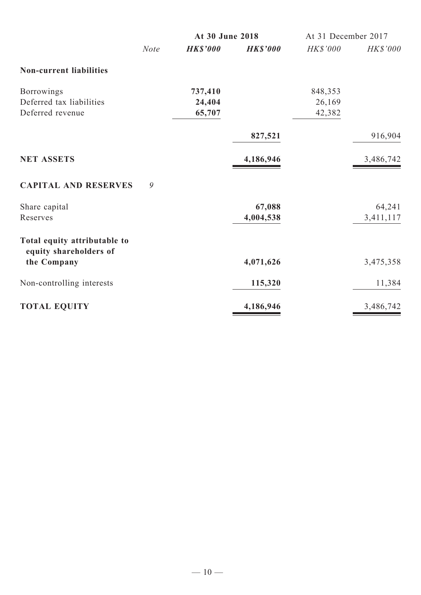|                                                        |             | At 30 June 2018 |                 | At 31 December 2017 |                 |
|--------------------------------------------------------|-------------|-----------------|-----------------|---------------------|-----------------|
|                                                        | <b>Note</b> | <b>HK\$'000</b> | <b>HK\$'000</b> | HK\$'000            | <b>HK\$'000</b> |
| <b>Non-current liabilities</b>                         |             |                 |                 |                     |                 |
| <b>Borrowings</b>                                      |             | 737,410         |                 | 848,353             |                 |
| Deferred tax liabilities                               |             | 24,404          |                 | 26,169              |                 |
| Deferred revenue                                       |             | 65,707          |                 | 42,382              |                 |
|                                                        |             |                 | 827,521         |                     | 916,904         |
| <b>NET ASSETS</b>                                      |             |                 | 4,186,946       |                     | 3,486,742       |
| <b>CAPITAL AND RESERVES</b>                            | 9           |                 |                 |                     |                 |
| Share capital                                          |             |                 | 67,088          |                     | 64,241          |
| Reserves                                               |             |                 | 4,004,538       |                     | 3,411,117       |
| Total equity attributable to<br>equity shareholders of |             |                 |                 |                     |                 |
| the Company                                            |             |                 | 4,071,626       |                     | 3,475,358       |
| Non-controlling interests                              |             |                 | 115,320         |                     | 11,384          |
| <b>TOTAL EQUITY</b>                                    |             |                 | 4,186,946       |                     | 3,486,742       |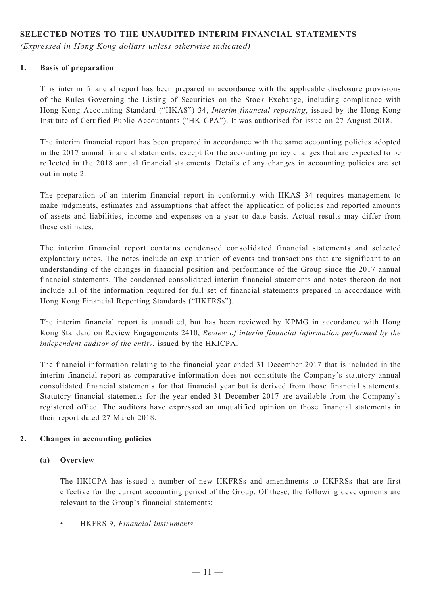# **SELECTED NOTES TO THE UNAUDITED INTERIM FINANCIAL STATEMENTS**

*(Expressed in Hong Kong dollars unless otherwise indicated)*

### **1. Basis of preparation**

This interim financial report has been prepared in accordance with the applicable disclosure provisions of the Rules Governing the Listing of Securities on the Stock Exchange, including compliance with Hong Kong Accounting Standard ("HKAS") 34, *Interim financial reporting*, issued by the Hong Kong Institute of Certified Public Accountants ("HKICPA"). It was authorised for issue on 27 August 2018.

The interim financial report has been prepared in accordance with the same accounting policies adopted in the 2017 annual financial statements, except for the accounting policy changes that are expected to be reflected in the 2018 annual financial statements. Details of any changes in accounting policies are set out in note 2.

The preparation of an interim financial report in conformity with HKAS 34 requires management to make judgments, estimates and assumptions that affect the application of policies and reported amounts of assets and liabilities, income and expenses on a year to date basis. Actual results may differ from these estimates.

The interim financial report contains condensed consolidated financial statements and selected explanatory notes. The notes include an explanation of events and transactions that are significant to an understanding of the changes in financial position and performance of the Group since the 2017 annual financial statements. The condensed consolidated interim financial statements and notes thereon do not include all of the information required for full set of financial statements prepared in accordance with Hong Kong Financial Reporting Standards ("HKFRSs").

The interim financial report is unaudited, but has been reviewed by KPMG in accordance with Hong Kong Standard on Review Engagements 2410, *Review of interim financial information performed by the independent auditor of the entity*, issued by the HKICPA.

The financial information relating to the financial year ended 31 December 2017 that is included in the interim financial report as comparative information does not constitute the Company's statutory annual consolidated financial statements for that financial year but is derived from those financial statements. Statutory financial statements for the year ended 31 December 2017 are available from the Company's registered office. The auditors have expressed an unqualified opinion on those financial statements in their report dated 27 March 2018.

### **2. Changes in accounting policies**

### **(a) Overview**

The HKICPA has issued a number of new HKFRSs and amendments to HKFRSs that are first effective for the current accounting period of the Group. Of these, the following developments are relevant to the Group's financial statements:

**HKFRS 9,** *Financial instruments*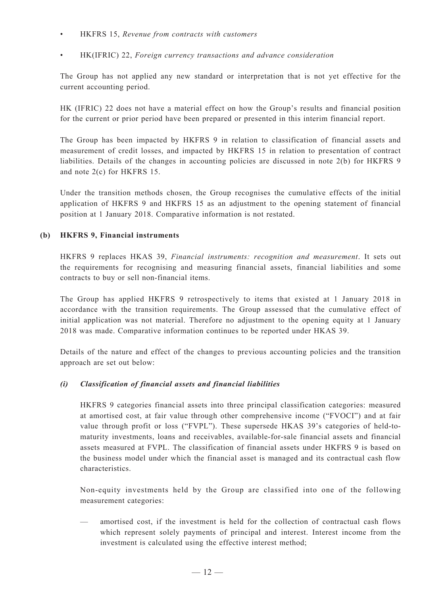- HKFRS 15, Revenue from contracts with customers
- • HK(IFRIC) 22, *Foreign currency transactions and advance consideration*

The Group has not applied any new standard or interpretation that is not yet effective for the current accounting period.

HK (IFRIC) 22 does not have a material effect on how the Group's results and financial position for the current or prior period have been prepared or presented in this interim financial report.

The Group has been impacted by HKFRS 9 in relation to classification of financial assets and measurement of credit losses, and impacted by HKFRS 15 in relation to presentation of contract liabilities. Details of the changes in accounting policies are discussed in note 2(b) for HKFRS 9 and note 2(c) for HKFRS 15.

Under the transition methods chosen, the Group recognises the cumulative effects of the initial application of HKFRS 9 and HKFRS 15 as an adjustment to the opening statement of financial position at 1 January 2018. Comparative information is not restated.

### **(b) HKFRS 9, Financial instruments**

HKFRS 9 replaces HKAS 39, *Financial instruments: recognition and measurement*. It sets out the requirements for recognising and measuring financial assets, financial liabilities and some contracts to buy or sell non-financial items.

The Group has applied HKFRS 9 retrospectively to items that existed at 1 January 2018 in accordance with the transition requirements. The Group assessed that the cumulative effect of initial application was not material. Therefore no adjustment to the opening equity at 1 January 2018 was made. Comparative information continues to be reported under HKAS 39.

Details of the nature and effect of the changes to previous accounting policies and the transition approach are set out below:

### *(i) Classification of financial assets and financial liabilities*

HKFRS 9 categories financial assets into three principal classification categories: measured at amortised cost, at fair value through other comprehensive income ("FVOCI") and at fair value through profit or loss ("FVPL"). These supersede HKAS 39's categories of held-tomaturity investments, loans and receivables, available-for-sale financial assets and financial assets measured at FVPL. The classification of financial assets under HKFRS 9 is based on the business model under which the financial asset is managed and its contractual cash flow characteristics.

Non-equity investments held by the Group are classified into one of the following measurement categories:

— amortised cost, if the investment is held for the collection of contractual cash flows which represent solely payments of principal and interest. Interest income from the investment is calculated using the effective interest method;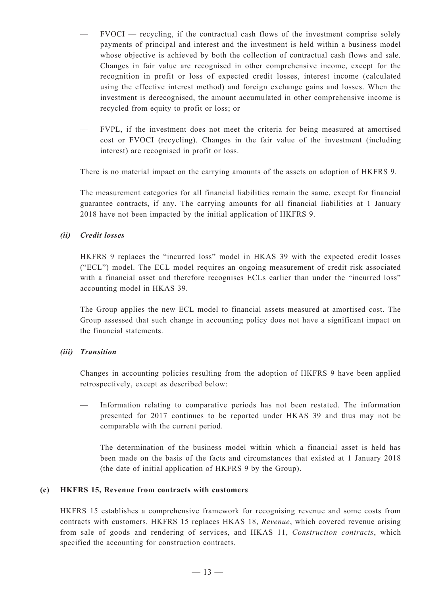- FVOCI recycling, if the contractual cash flows of the investment comprise solely payments of principal and interest and the investment is held within a business model whose objective is achieved by both the collection of contractual cash flows and sale. Changes in fair value are recognised in other comprehensive income, except for the recognition in profit or loss of expected credit losses, interest income (calculated using the effective interest method) and foreign exchange gains and losses. When the investment is derecognised, the amount accumulated in other comprehensive income is recycled from equity to profit or loss; or
- FVPL, if the investment does not meet the criteria for being measured at amortised cost or FVOCI (recycling). Changes in the fair value of the investment (including interest) are recognised in profit or loss.

There is no material impact on the carrying amounts of the assets on adoption of HKFRS 9.

The measurement categories for all financial liabilities remain the same, except for financial guarantee contracts, if any. The carrying amounts for all financial liabilities at 1 January 2018 have not been impacted by the initial application of HKFRS 9.

### *(ii) Credit losses*

HKFRS 9 replaces the "incurred loss" model in HKAS 39 with the expected credit losses ("ECL") model. The ECL model requires an ongoing measurement of credit risk associated with a financial asset and therefore recognises ECLs earlier than under the "incurred loss" accounting model in HKAS 39.

The Group applies the new ECL model to financial assets measured at amortised cost. The Group assessed that such change in accounting policy does not have a significant impact on the financial statements.

#### *(iii) Transition*

Changes in accounting policies resulting from the adoption of HKFRS 9 have been applied retrospectively, except as described below:

- Information relating to comparative periods has not been restated. The information presented for 2017 continues to be reported under HKAS 39 and thus may not be comparable with the current period.
- The determination of the business model within which a financial asset is held has been made on the basis of the facts and circumstances that existed at 1 January 2018 (the date of initial application of HKFRS 9 by the Group).

#### **(c) HKFRS 15, Revenue from contracts with customers**

HKFRS 15 establishes a comprehensive framework for recognising revenue and some costs from contracts with customers. HKFRS 15 replaces HKAS 18, *Revenue*, which covered revenue arising from sale of goods and rendering of services, and HKAS 11, *Construction contracts*, which specified the accounting for construction contracts.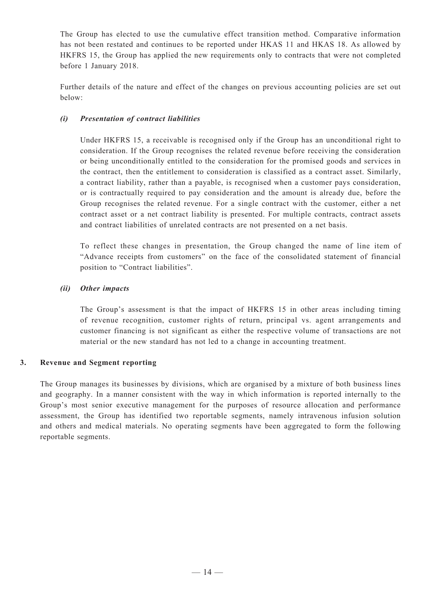The Group has elected to use the cumulative effect transition method. Comparative information has not been restated and continues to be reported under HKAS 11 and HKAS 18. As allowed by HKFRS 15, the Group has applied the new requirements only to contracts that were not completed before 1 January 2018.

Further details of the nature and effect of the changes on previous accounting policies are set out below:

### *(i) Presentation of contract liabilities*

Under HKFRS 15, a receivable is recognised only if the Group has an unconditional right to consideration. If the Group recognises the related revenue before receiving the consideration or being unconditionally entitled to the consideration for the promised goods and services in the contract, then the entitlement to consideration is classified as a contract asset. Similarly, a contract liability, rather than a payable, is recognised when a customer pays consideration, or is contractually required to pay consideration and the amount is already due, before the Group recognises the related revenue. For a single contract with the customer, either a net contract asset or a net contract liability is presented. For multiple contracts, contract assets and contract liabilities of unrelated contracts are not presented on a net basis.

To reflect these changes in presentation, the Group changed the name of line item of "Advance receipts from customers" on the face of the consolidated statement of financial position to "Contract liabilities".

### *(ii) Other impacts*

The Group's assessment is that the impact of HKFRS 15 in other areas including timing of revenue recognition, customer rights of return, principal vs. agent arrangements and customer financing is not significant as either the respective volume of transactions are not material or the new standard has not led to a change in accounting treatment.

### **3. Revenue and Segment reporting**

The Group manages its businesses by divisions, which are organised by a mixture of both business lines and geography. In a manner consistent with the way in which information is reported internally to the Group's most senior executive management for the purposes of resource allocation and performance assessment, the Group has identified two reportable segments, namely intravenous infusion solution and others and medical materials. No operating segments have been aggregated to form the following reportable segments.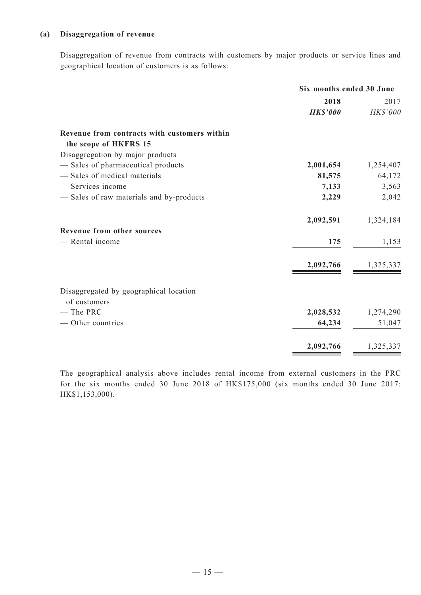### **(a) Disaggregation of revenue**

Disaggregation of revenue from contracts with customers by major products or service lines and geographical location of customers is as follows:

| Six months ended 30 June |                              |  |
|--------------------------|------------------------------|--|
| 2018                     | 2017                         |  |
| <b>HK\$'000</b>          | HK\$'000                     |  |
|                          |                              |  |
|                          |                              |  |
|                          |                              |  |
|                          | 1,254,407                    |  |
|                          | 64,172                       |  |
|                          | 3,563                        |  |
| 2,229                    | 2,042                        |  |
| 2,092,591                | 1,324,184                    |  |
|                          |                              |  |
| 175                      | 1,153                        |  |
| 2,092,766                | 1,325,337                    |  |
|                          |                              |  |
|                          |                              |  |
|                          |                              |  |
| 2,028,532                | 1,274,290                    |  |
| 64,234                   | 51,047                       |  |
| 2,092,766                | 1,325,337                    |  |
|                          | 2,001,654<br>81,575<br>7,133 |  |

The geographical analysis above includes rental income from external customers in the PRC for the six months ended 30 June 2018 of HK\$175,000 (six months ended 30 June 2017: HK\$1,153,000).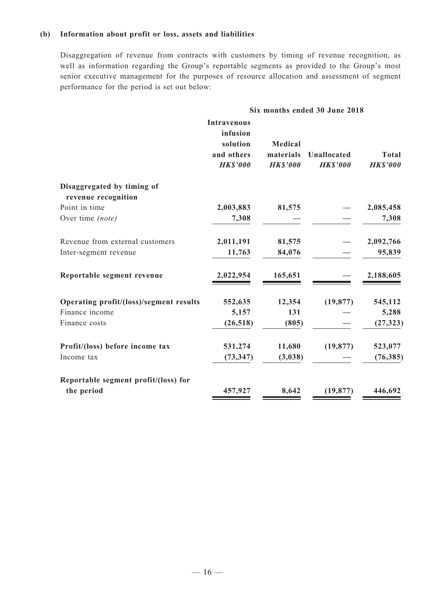### **(b) Information about profit or loss, assets and liabilities**

Disaggregation of revenue from contracts with customers by timing of revenue recognition, as well as information regarding the Group's reportable segments as provided to the Group's most senior executive management for the purposes of resource allocation and assessment of segment performance for the period is set out below:

|                                         | Six months ended 30 June 2018                                               |                                         |                                       |                                 |
|-----------------------------------------|-----------------------------------------------------------------------------|-----------------------------------------|---------------------------------------|---------------------------------|
|                                         | <b>Intravenous</b><br>infusion<br>solution<br>and others<br><b>HK\$'000</b> | Medical<br>materials<br><b>HK\$'000</b> | <b>Unallocated</b><br><b>HK\$'000</b> | <b>Total</b><br><b>HK\$'000</b> |
| Disaggregated by timing of              |                                                                             |                                         |                                       |                                 |
| revenue recognition                     |                                                                             |                                         |                                       |                                 |
| Point in time                           | 2,003,883                                                                   | 81,575                                  |                                       | 2,085,458                       |
| Over time (note)                        | 7,308                                                                       |                                         |                                       | 7,308                           |
| Revenue from external customers         | 2,011,191                                                                   | 81,575                                  |                                       | 2,092,766                       |
| Inter-segment revenue                   | 11,763                                                                      | 84,076                                  |                                       | 95,839                          |
| Reportable segment revenue              | 2,022,954                                                                   | 165,651                                 |                                       | 2,188,605                       |
| Operating profit/(loss)/segment results | 552,635                                                                     | 12,354                                  | (19, 877)                             | 545,112                         |
| Finance income                          | 5,157                                                                       | 131                                     |                                       | 5,288                           |
| Finance costs                           | (26, 518)                                                                   | (805)                                   |                                       | (27, 323)                       |
| Profit/(loss) before income tax         | 531,274                                                                     | 11,680                                  | (19, 877)                             | 523,077                         |
| Income tax                              | (73, 347)                                                                   | (3,038)                                 |                                       | (76, 385)                       |
| Reportable segment profit/(loss) for    |                                                                             |                                         |                                       |                                 |
| the period                              | 457,927                                                                     | 8,642                                   | (19, 877)                             | 446,692                         |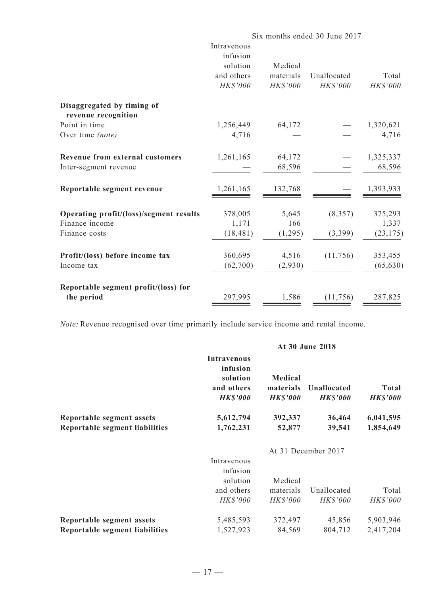|                                         | Six months ended 30 June 2017 |           |             |           |
|-----------------------------------------|-------------------------------|-----------|-------------|-----------|
|                                         | Intravenous                   |           |             |           |
|                                         | infusion                      |           |             |           |
|                                         | solution                      | Medical   |             |           |
|                                         | and others                    | materials | Unallocated | Total     |
|                                         | HK\$'000                      | HK\$'000  | HK\$'000    | HK\$'000  |
| Disaggregated by timing of              |                               |           |             |           |
| revenue recognition                     |                               |           |             |           |
| Point in time                           | 1,256,449                     | 64,172    |             | 1,320,621 |
| Over time (note)                        | 4,716                         |           |             | 4,716     |
| <b>Revenue from external customers</b>  | 1,261,165                     | 64,172    |             | 1,325,337 |
| Inter-segment revenue                   |                               | 68,596    |             | 68,596    |
| Reportable segment revenue              | 1,261,165                     | 132,768   |             | 1,393,933 |
| Operating profit/(loss)/segment results | 378,005                       | 5,645     | (8, 357)    | 375,293   |
| Finance income                          | 1,171                         | 166       |             | 1,337     |
| Finance costs                           | (18, 481)                     | (1,295)   | (3,399)     | (23, 175) |
| Profit/(loss) before income tax         | 360,695                       | 4,516     | (11, 756)   | 353,455   |
| Income tax                              | (62,700)                      | (2,930)   |             | (65, 630) |
| Reportable segment profit/(loss) for    |                               |           |             |           |
| the period                              | 297,995                       | 1,586     | (11, 756)   | 287,825   |

*Note:* Revenue recognised over time primarily include service income and rental income.

# **At 30 June 2018**

|                                | Intravenous<br>infusion<br>solution<br>and others<br><b>HK\$'000</b> | Medical<br>materials<br><b>HK\$'000</b> | Unallocated<br><b>HK\$'000</b> | <b>Total</b><br><b>HK\$'000</b> |
|--------------------------------|----------------------------------------------------------------------|-----------------------------------------|--------------------------------|---------------------------------|
| Reportable segment assets      | 5,612,794                                                            | 392,337                                 | 36,464                         | 6,041,595                       |
| Reportable segment liabilities | 1,762,231                                                            | 52,877                                  | 39,541                         | 1,854,649                       |
|                                |                                                                      |                                         | At 31 December 2017            |                                 |
|                                | Intravenous                                                          |                                         |                                |                                 |
|                                | infusion                                                             |                                         |                                |                                 |
|                                | solution                                                             | Medical                                 |                                |                                 |
|                                | and others                                                           | materials                               | Unallocated                    | Total                           |
|                                | <b>HK\$'000</b>                                                      | <b>HK\$'000</b>                         | <b>HK\$'000</b>                | <b>HK\$'000</b>                 |
| Reportable segment assets      | 5,485,593                                                            | 372,497                                 | 45,856                         | 5,903,946                       |
| Reportable segment liabilities | 1,527,923                                                            | 84,569                                  | 804,712                        | 2,417,204                       |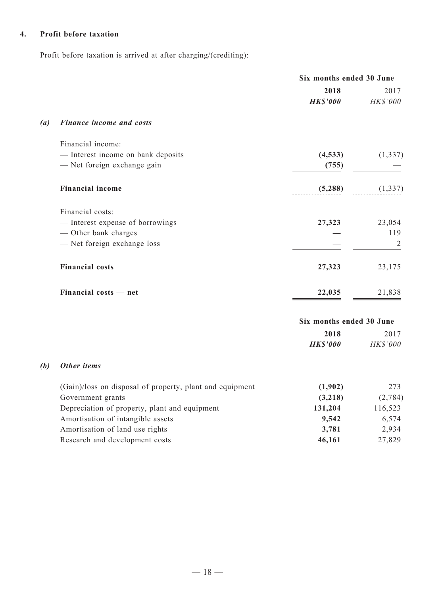## **4. Profit before taxation**

Profit before taxation is arrived at after charging/(crediting):

|                   |                                                          | Six months ended 30 June |                  |  |
|-------------------|----------------------------------------------------------|--------------------------|------------------|--|
|                   |                                                          | 2018<br><b>HK\$'000</b>  | 2017<br>HK\$'000 |  |
| $\left( a\right)$ | <b>Finance income and costs</b>                          |                          |                  |  |
|                   | Financial income:                                        |                          |                  |  |
|                   | - Interest income on bank deposits                       | (4, 533)                 | (1, 337)         |  |
|                   | - Net foreign exchange gain                              | (755)                    |                  |  |
|                   | <b>Financial income</b>                                  | (5,288)                  | (1, 337)         |  |
|                   | Financial costs:                                         |                          |                  |  |
|                   | - Interest expense of borrowings                         | 27,323                   | 23,054           |  |
|                   | - Other bank charges                                     |                          | 119              |  |
|                   | - Net foreign exchange loss                              |                          | 2                |  |
|                   | <b>Financial costs</b>                                   | 27,323                   | 23,175           |  |
|                   | Financial costs - net                                    | 22,035                   | 21,838           |  |
|                   |                                                          | Six months ended 30 June |                  |  |
|                   |                                                          | 2018                     | 2017             |  |
|                   |                                                          | <b>HK\$'000</b>          | HK\$'000         |  |
| (b)               | Other items                                              |                          |                  |  |
|                   | (Gain)/loss on disposal of property, plant and equipment | (1,902)                  | 273              |  |
|                   | Government grants                                        | (3,218)                  | (2, 784)         |  |
|                   | Depreciation of property, plant and equipment            | 131,204                  | 116,523          |  |
|                   | Amortisation of intangible assets                        | 9,542                    | 6,574            |  |
|                   | Amortisation of land use rights                          | 3,781                    | 2,934            |  |
|                   | Research and development costs                           | 46,161                   | 27,829           |  |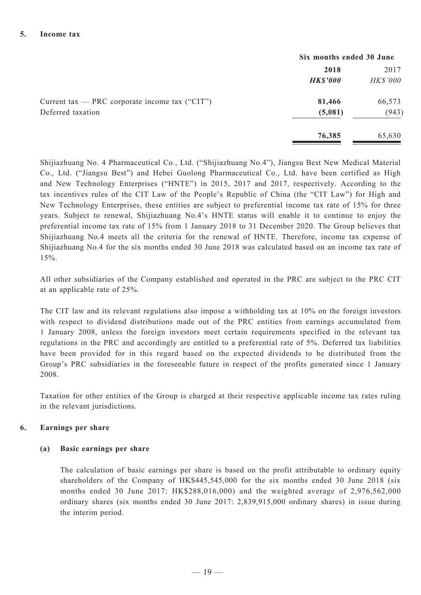|                                                  | Six months ended 30 June |          |  |
|--------------------------------------------------|--------------------------|----------|--|
|                                                  | 2018                     | 2017     |  |
|                                                  | <b>HK\$'000</b>          | HK\$'000 |  |
| Current tax — PRC corporate income tax $("CIT")$ | 81,466                   | 66,573   |  |
| Deferred taxation                                | (5,081)                  | (943)    |  |
|                                                  | 76,385                   | 65,630   |  |

Shijiazhuang No. 4 Pharmaceutical Co., Ltd. ("Shijiazhuang No.4"), Jiangsu Best New Medical Material Co., Ltd. ("Jiangsu Best") and Hebei Guolong Pharmaceutical Co., Ltd. have been certified as High and New Technology Enterprises ("HNTE") in 2015, 2017 and 2017, respectively. According to the tax incentives rules of the CIT Law of the People's Republic of China (the "CIT Law") for High and New Technology Enterprises, these entities are subject to preferential income tax rate of 15% for three years. Subject to renewal, Shijiazhuang No.4's HNTE status will enable it to continue to enjoy the preferential income tax rate of 15% from 1 January 2018 to 31 December 2020. The Group believes that Shijiazhuang No.4 meets all the criteria for the renewal of HNTE. Therefore, income tax expense of Shijiazhuang No.4 for the six months ended 30 June 2018 was calculated based on an income tax rate of 15%.

All other subsidiaries of the Company established and operated in the PRC are subject to the PRC CIT at an applicable rate of 25%.

The CIT law and its relevant regulations also impose a withholding tax at 10% on the foreign investors with respect to dividend distributions made out of the PRC entities from earnings accumulated from 1 January 2008, unless the foreign investors meet certain requirements specified in the relevant tax regulations in the PRC and accordingly are entitled to a preferential rate of 5%. Deferred tax liabilities have been provided for in this regard based on the expected dividends to be distributed from the Group's PRC subsidiaries in the foreseeable future in respect of the profits generated since 1 January 2008.

Taxation for other entities of the Group is charged at their respective applicable income tax rates ruling in the relevant jurisdictions.

### **6. Earnings per share**

#### **(a) Basic earnings per share**

The calculation of basic earnings per share is based on the profit attributable to ordinary equity shareholders of the Company of HK\$445,545,000 for the six months ended 30 June 2018 (six months ended 30 June 2017: HK\$288,016,000) and the weighted average of 2,976,562,000 ordinary shares (six months ended 30 June 2017: 2,839,915,000 ordinary shares) in issue during the interim period.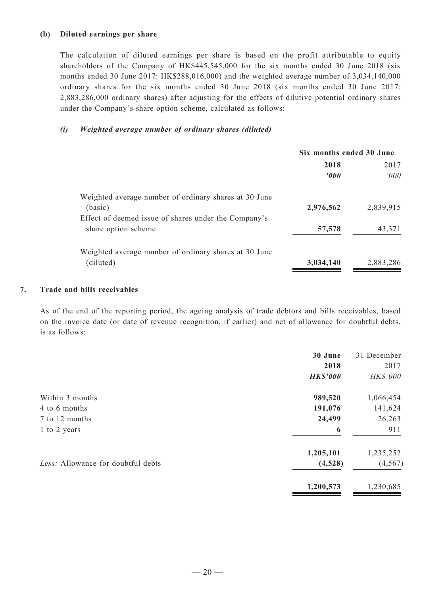### **(b) Diluted earnings per share**

The calculation of diluted earnings per share is based on the profit attributable to equity shareholders of the Company of HK\$445,545,000 for the six months ended 30 June 2018 (six months ended 30 June 2017: HK\$288,016,000) and the weighted average number of 3,034,140,000 ordinary shares for the six months ended 30 June 2018 (six months ended 30 June 2017: 2,883,286,000 ordinary shares) after adjusting for the effects of dilutive potential ordinary shares under the Company's share option scheme, calculated as follows:

### *(i) Weighted average number of ordinary shares (diluted)*

|                                                       | Six months ended 30 June |           |  |
|-------------------------------------------------------|--------------------------|-----------|--|
|                                                       | 2018                     | 2017      |  |
|                                                       | $\boldsymbol{v}$         | 000'      |  |
| Weighted average number of ordinary shares at 30 June |                          |           |  |
| (basic)                                               | 2,976,562                | 2,839,915 |  |
| Effect of deemed issue of shares under the Company's  |                          |           |  |
| share option scheme                                   | 57,578                   | 43,371    |  |
| Weighted average number of ordinary shares at 30 June |                          |           |  |
| (diluted)                                             | 3,034,140                | 2,883,286 |  |
|                                                       |                          |           |  |

### **7. Trade and bills receivables**

As of the end of the reporting period, the ageing analysis of trade debtors and bills receivables, based on the invoice date (or date of revenue recognition, if earlier) and net of allowance for doubtful debts, is as follows:

| 30 June         | 31 December |
|-----------------|-------------|
| 2018            | 2017        |
| <b>HK\$'000</b> | HK\$'000    |
| 989,520         | 1,066,454   |
| 191,076         | 141,624     |
| 24,499          | 26,263      |
| 6               | 911         |
| 1,205,101       | 1,235,252   |
| (4,528)         | (4, 567)    |
| 1,200,573       | 1,230,685   |
|                 |             |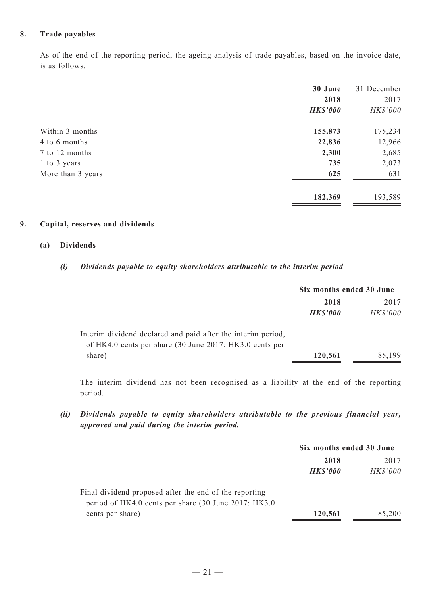### **8. Trade payables**

As of the end of the reporting period, the ageing analysis of trade payables, based on the invoice date, is as follows:

|                   | 30 June         | 31 December |
|-------------------|-----------------|-------------|
|                   | 2018            | 2017        |
|                   | <b>HK\$'000</b> | HK\$'000    |
| Within 3 months   | 155,873         | 175,234     |
| 4 to 6 months     | 22,836          | 12,966      |
| 7 to 12 months    | 2,300           | 2,685       |
| 1 to 3 years      | 735             | 2,073       |
| More than 3 years | 625             | 631         |
|                   | 182,369         | 193,589     |

### **9. Capital, reserves and dividends**

### **(a) Dividends**

### *(i) Dividends payable to equity shareholders attributable to the interim period*

|                                                                                                                         | Six months ended 30 June |                 |  |
|-------------------------------------------------------------------------------------------------------------------------|--------------------------|-----------------|--|
|                                                                                                                         | 2018                     | 2017            |  |
|                                                                                                                         | <b>HK\$'000</b>          | <b>HK\$'000</b> |  |
| Interim dividend declared and paid after the interim period,<br>of HK4.0 cents per share (30 June 2017: HK3.0 cents per |                          |                 |  |
| share)                                                                                                                  | 120,561                  | 85,199          |  |

The interim dividend has not been recognised as a liability at the end of the reporting period.

*(ii) Dividends payable to equity shareholders attributable to the previous financial year, approved and paid during the interim period.*

|                                                        | Six months ended 30 June |                 |
|--------------------------------------------------------|--------------------------|-----------------|
|                                                        | 2018                     | 2017            |
|                                                        | <b>HK\$'000</b>          | <b>HK\$'000</b> |
| Final dividend proposed after the end of the reporting |                          |                 |
| period of HK4.0 cents per share (30 June 2017: HK3.0)  |                          |                 |
| cents per share)                                       | 120,561                  | 85,200          |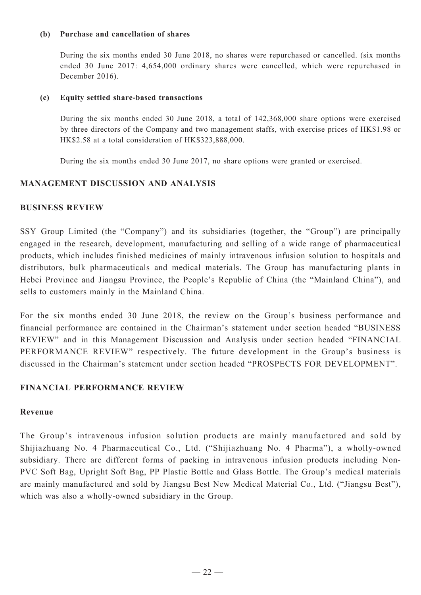### **(b) Purchase and cancellation of shares**

During the six months ended 30 June 2018, no shares were repurchased or cancelled. (six months ended 30 June 2017: 4,654,000 ordinary shares were cancelled, which were repurchased in December 2016).

### **(c) Equity settled share-based transactions**

During the six months ended 30 June 2018, a total of 142,368,000 share options were exercised by three directors of the Company and two management staffs, with exercise prices of HK\$1.98 or HK\$2.58 at a total consideration of HK\$323,888,000.

During the six months ended 30 June 2017, no share options were granted or exercised.

# **MANAGEMENT DISCUSSION AND ANALYSIS**

## **Business Review**

SSY Group Limited (the "Company") and its subsidiaries (together, the "Group") are principally engaged in the research, development, manufacturing and selling of a wide range of pharmaceutical products, which includes finished medicines of mainly intravenous infusion solution to hospitals and distributors, bulk pharmaceuticals and medical materials. The Group has manufacturing plants in Hebei Province and Jiangsu Province, the People's Republic of China (the "Mainland China"), and sells to customers mainly in the Mainland China.

For the six months ended 30 June 2018, the review on the Group's business performance and financial performance are contained in the Chairman's statement under section headed "BUSINESS REVIEW" and in this Management Discussion and Analysis under section headed "FINANCIAL PERFORMANCE REVIEW" respectively. The future development in the Group's business is discussed in the Chairman's statement under section headed "PROSPECTS FOR DEVELOPMENT".

## **FINANCIAL PERFORMANCE REVIEW**

## **Revenue**

The Group's intravenous infusion solution products are mainly manufactured and sold by Shijiazhuang No. 4 Pharmaceutical Co., Ltd. ("Shijiazhuang No. 4 Pharma"), a wholly-owned subsidiary. There are different forms of packing in intravenous infusion products including Non-PVC Soft Bag, Upright Soft Bag, PP Plastic Bottle and Glass Bottle. The Group's medical materials are mainly manufactured and sold by Jiangsu Best New Medical Material Co., Ltd. ("Jiangsu Best"), which was also a wholly-owned subsidiary in the Group.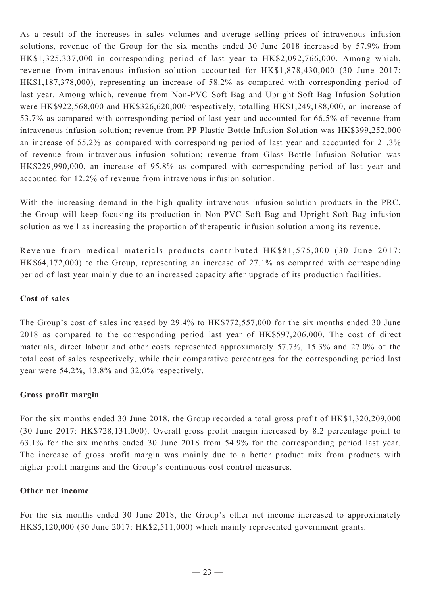As a result of the increases in sales volumes and average selling prices of intravenous infusion solutions, revenue of the Group for the six months ended 30 June 2018 increased by 57.9% from HK\$1,325,337,000 in corresponding period of last year to HK\$2,092,766,000. Among which, revenue from intravenous infusion solution accounted for HK\$1,878,430,000 (30 June 2017: HK\$1,187,378,000), representing an increase of 58.2% as compared with corresponding period of last year. Among which, revenue from Non-PVC Soft Bag and Upright Soft Bag Infusion Solution were HK\$922,568,000 and HK\$326,620,000 respectively, totalling HK\$1,249,188,000, an increase of 53.7% as compared with corresponding period of last year and accounted for 66.5% of revenue from intravenous infusion solution; revenue from PP Plastic Bottle Infusion Solution was HK\$399,252,000 an increase of 55.2% as compared with corresponding period of last year and accounted for 21.3% of revenue from intravenous infusion solution; revenue from Glass Bottle Infusion Solution was HK\$229,990,000, an increase of 95.8% as compared with corresponding period of last year and accounted for 12.2% of revenue from intravenous infusion solution.

With the increasing demand in the high quality intravenous infusion solution products in the PRC, the Group will keep focusing its production in Non-PVC Soft Bag and Upright Soft Bag infusion solution as well as increasing the proportion of therapeutic infusion solution among its revenue.

Revenue from medical materials products contributed HK\$81,575,000 (30 June 2017: HK\$64,172,000) to the Group, representing an increase of 27.1% as compared with corresponding period of last year mainly due to an increased capacity after upgrade of its production facilities.

## **Cost of sales**

The Group's cost of sales increased by 29.4% to HK\$772,557,000 for the six months ended 30 June 2018 as compared to the corresponding period last year of HK\$597,206,000. The cost of direct materials, direct labour and other costs represented approximately 57.7%, 15.3% and 27.0% of the total cost of sales respectively, while their comparative percentages for the corresponding period last year were 54.2%, 13.8% and 32.0% respectively.

## **Gross profit margin**

For the six months ended 30 June 2018, the Group recorded a total gross profit of HK\$1,320,209,000 (30 June 2017: HK\$728,131,000). Overall gross profit margin increased by 8.2 percentage point to 63.1% for the six months ended 30 June 2018 from 54.9% for the corresponding period last year. The increase of gross profit margin was mainly due to a better product mix from products with higher profit margins and the Group's continuous cost control measures.

## **Other net income**

For the six months ended 30 June 2018, the Group's other net income increased to approximately HK\$5,120,000 (30 June 2017: HK\$2,511,000) which mainly represented government grants.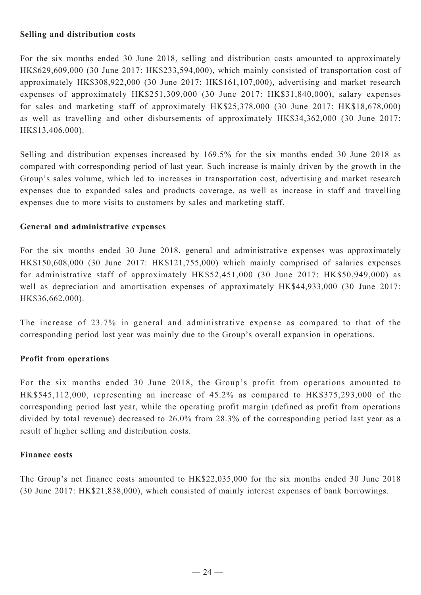# **Selling and distribution costs**

For the six months ended 30 June 2018, selling and distribution costs amounted to approximately HK\$629,609,000 (30 June 2017: HK\$233,594,000), which mainly consisted of transportation cost of approximately HK\$308,922,000 (30 June 2017: HK\$161,107,000), advertising and market research expenses of approximately HK\$251,309,000 (30 June 2017: HK\$31,840,000), salary expenses for sales and marketing staff of approximately HK\$25,378,000 (30 June 2017: HK\$18,678,000) as well as travelling and other disbursements of approximately HK\$34,362,000 (30 June 2017: HK\$13,406,000).

Selling and distribution expenses increased by 169.5% for the six months ended 30 June 2018 as compared with corresponding period of last year. Such increase is mainly driven by the growth in the Group's sales volume, which led to increases in transportation cost, advertising and market research expenses due to expanded sales and products coverage, as well as increase in staff and travelling expenses due to more visits to customers by sales and marketing staff.

# **General and administrative expenses**

For the six months ended 30 June 2018, general and administrative expenses was approximately HK\$150,608,000 (30 June 2017: HK\$121,755,000) which mainly comprised of salaries expenses for administrative staff of approximately HK\$52,451,000 (30 June 2017: HK\$50,949,000) as well as depreciation and amortisation expenses of approximately HK\$44,933,000 (30 June 2017: HK\$36,662,000).

The increase of 23.7% in general and administrative expense as compared to that of the corresponding period last year was mainly due to the Group's overall expansion in operations.

# **Profit from operations**

For the six months ended 30 June 2018, the Group's profit from operations amounted to HK\$545,112,000, representing an increase of 45.2% as compared to HK\$375,293,000 of the corresponding period last year, while the operating profit margin (defined as profit from operations divided by total revenue) decreased to 26.0% from 28.3% of the corresponding period last year as a result of higher selling and distribution costs.

## **Finance costs**

The Group's net finance costs amounted to HK\$22,035,000 for the six months ended 30 June 2018 (30 June 2017: HK\$21,838,000), which consisted of mainly interest expenses of bank borrowings.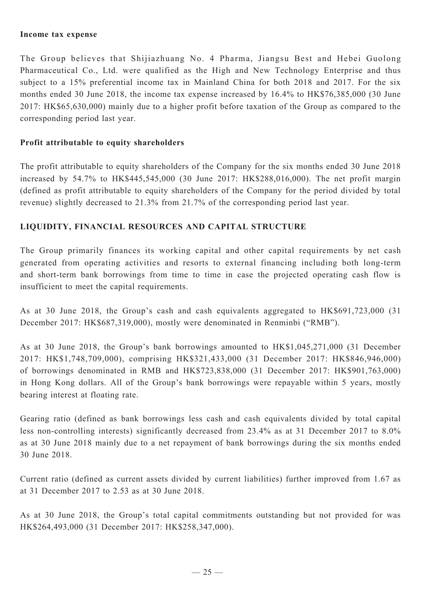### **Income tax expense**

The Group believes that Shijiazhuang No. 4 Pharma, Jiangsu Best and Hebei Guolong Pharmaceutical Co., Ltd. were qualified as the High and New Technology Enterprise and thus subject to a 15% preferential income tax in Mainland China for both 2018 and 2017. For the six months ended 30 June 2018, the income tax expense increased by 16.4% to HK\$76,385,000 (30 June 2017: HK\$65,630,000) mainly due to a higher profit before taxation of the Group as compared to the corresponding period last year.

## **Profit attributable to equity shareholders**

The profit attributable to equity shareholders of the Company for the six months ended 30 June 2018 increased by 54.7% to HK\$445,545,000 (30 June 2017: HK\$288,016,000). The net profit margin (defined as profit attributable to equity shareholders of the Company for the period divided by total revenue) slightly decreased to 21.3% from 21.7% of the corresponding period last year.

## **LIQUIDITY, FINANCIAL RESOURCES AND CAPITAL STRUCTURE**

The Group primarily finances its working capital and other capital requirements by net cash generated from operating activities and resorts to external financing including both long-term and short-term bank borrowings from time to time in case the projected operating cash flow is insufficient to meet the capital requirements.

As at 30 June 2018, the Group's cash and cash equivalents aggregated to HK\$691,723,000 (31 December 2017: HK\$687,319,000), mostly were denominated in Renminbi ("RMB").

As at 30 June 2018, the Group's bank borrowings amounted to HK\$1,045,271,000 (31 December 2017: HK\$1,748,709,000), comprising HK\$321,433,000 (31 December 2017: HK\$846,946,000) of borrowings denominated in RMB and HK\$723,838,000 (31 December 2017: HK\$901,763,000) in Hong Kong dollars. All of the Group's bank borrowings were repayable within 5 years, mostly bearing interest at floating rate.

Gearing ratio (defined as bank borrowings less cash and cash equivalents divided by total capital less non-controlling interests) significantly decreased from 23.4% as at 31 December 2017 to 8.0% as at 30 June 2018 mainly due to a net repayment of bank borrowings during the six months ended 30 June 2018.

Current ratio (defined as current assets divided by current liabilities) further improved from 1.67 as at 31 December 2017 to 2.53 as at 30 June 2018.

As at 30 June 2018, the Group's total capital commitments outstanding but not provided for was HK\$264,493,000 (31 December 2017: HK\$258,347,000).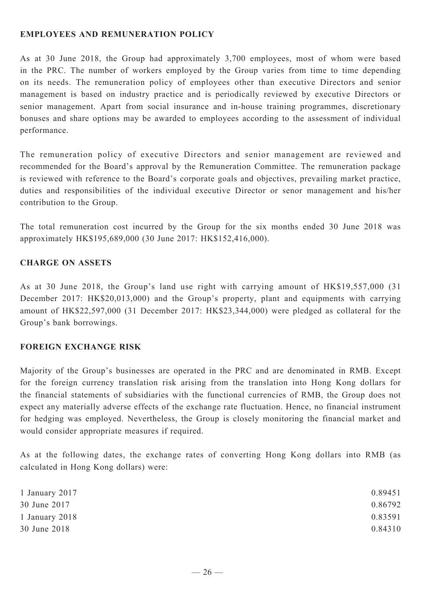# **EMPLOYEES AND REMUNERATION POLICY**

As at 30 June 2018, the Group had approximately 3,700 employees, most of whom were based in the PRC. The number of workers employed by the Group varies from time to time depending on its needs. The remuneration policy of employees other than executive Directors and senior management is based on industry practice and is periodically reviewed by executive Directors or senior management. Apart from social insurance and in-house training programmes, discretionary bonuses and share options may be awarded to employees according to the assessment of individual performance.

The remuneration policy of executive Directors and senior management are reviewed and recommended for the Board's approval by the Remuneration Committee. The remuneration package is reviewed with reference to the Board's corporate goals and objectives, prevailing market practice, duties and responsibilities of the individual executive Director or senor management and his/her contribution to the Group.

The total remuneration cost incurred by the Group for the six months ended 30 June 2018 was approximately HK\$195,689,000 (30 June 2017: HK\$152,416,000).

# **CHARGE ON ASSETS**

As at 30 June 2018, the Group's land use right with carrying amount of HK\$19,557,000 (31 December 2017: HK\$20,013,000) and the Group's property, plant and equipments with carrying amount of HK\$22,597,000 (31 December 2017: HK\$23,344,000) were pledged as collateral for the Group's bank borrowings.

## **FOREIGN EXCHANGE RISK**

Majority of the Group's businesses are operated in the PRC and are denominated in RMB. Except for the foreign currency translation risk arising from the translation into Hong Kong dollars for the financial statements of subsidiaries with the functional currencies of RMB, the Group does not expect any materially adverse effects of the exchange rate fluctuation. Hence, no financial instrument for hedging was employed. Nevertheless, the Group is closely monitoring the financial market and would consider appropriate measures if required.

As at the following dates, the exchange rates of converting Hong Kong dollars into RMB (as calculated in Hong Kong dollars) were:

| 1 January 2017 | 0.89451 |
|----------------|---------|
| 30 June 2017   | 0.86792 |
| 1 January 2018 | 0.83591 |
| 30 June 2018   | 0.84310 |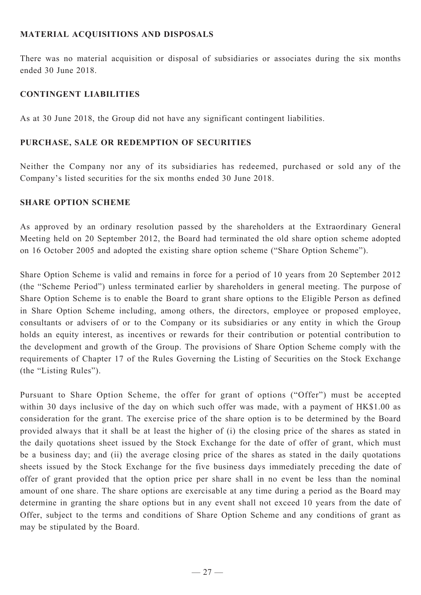# **Material acquisitions and disposals**

There was no material acquisition or disposal of subsidiaries or associates during the six months ended 30 June 2018.

## **CONTINGENT LIABILITIES**

As at 30 June 2018, the Group did not have any significant contingent liabilities.

### **PURCHASE, SALE OR REDEMPTION OF SECURITIES**

Neither the Company nor any of its subsidiaries has redeemed, purchased or sold any of the Company's listed securities for the six months ended 30 June 2018.

### **SHARE OPTION SCHEME**

As approved by an ordinary resolution passed by the shareholders at the Extraordinary General Meeting held on 20 September 2012, the Board had terminated the old share option scheme adopted on 16 October 2005 and adopted the existing share option scheme ("Share Option Scheme").

Share Option Scheme is valid and remains in force for a period of 10 years from 20 September 2012 (the "Scheme Period") unless terminated earlier by shareholders in general meeting. The purpose of Share Option Scheme is to enable the Board to grant share options to the Eligible Person as defined in Share Option Scheme including, among others, the directors, employee or proposed employee, consultants or advisers of or to the Company or its subsidiaries or any entity in which the Group holds an equity interest, as incentives or rewards for their contribution or potential contribution to the development and growth of the Group. The provisions of Share Option Scheme comply with the requirements of Chapter 17 of the Rules Governing the Listing of Securities on the Stock Exchange (the "Listing Rules").

Pursuant to Share Option Scheme, the offer for grant of options ("Offer") must be accepted within 30 days inclusive of the day on which such offer was made, with a payment of HK\$1.00 as consideration for the grant. The exercise price of the share option is to be determined by the Board provided always that it shall be at least the higher of (i) the closing price of the shares as stated in the daily quotations sheet issued by the Stock Exchange for the date of offer of grant, which must be a business day; and (ii) the average closing price of the shares as stated in the daily quotations sheets issued by the Stock Exchange for the five business days immediately preceding the date of offer of grant provided that the option price per share shall in no event be less than the nominal amount of one share. The share options are exercisable at any time during a period as the Board may determine in granting the share options but in any event shall not exceed 10 years from the date of Offer, subject to the terms and conditions of Share Option Scheme and any conditions of grant as may be stipulated by the Board.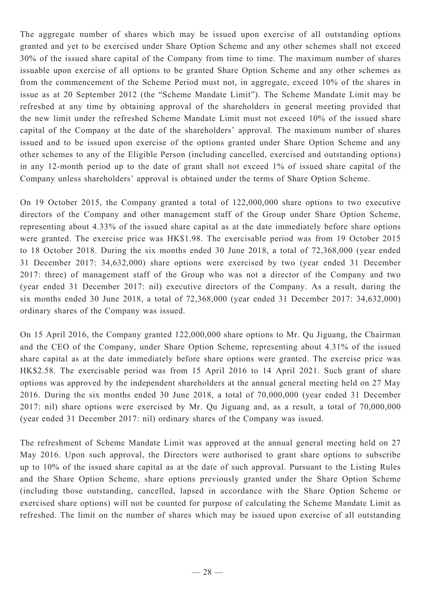The aggregate number of shares which may be issued upon exercise of all outstanding options granted and yet to be exercised under Share Option Scheme and any other schemes shall not exceed 30% of the issued share capital of the Company from time to time. The maximum number of shares issuable upon exercise of all options to be granted Share Option Scheme and any other schemes as from the commencement of the Scheme Period must not, in aggregate, exceed 10% of the shares in issue as at 20 September 2012 (the "Scheme Mandate Limit"). The Scheme Mandate Limit may be refreshed at any time by obtaining approval of the shareholders in general meeting provided that the new limit under the refreshed Scheme Mandate Limit must not exceed 10% of the issued share capital of the Company at the date of the shareholders' approval. The maximum number of shares issued and to be issued upon exercise of the options granted under Share Option Scheme and any other schemes to any of the Eligible Person (including cancelled, exercised and outstanding options) in any 12-month period up to the date of grant shall not exceed 1% of issued share capital of the Company unless shareholders' approval is obtained under the terms of Share Option Scheme.

On 19 October 2015, the Company granted a total of 122,000,000 share options to two executive directors of the Company and other management staff of the Group under Share Option Scheme, representing about 4.33% of the issued share capital as at the date immediately before share options were granted. The exercise price was HK\$1.98. The exercisable period was from 19 October 2015 to 18 October 2018. During the six months ended 30 June 2018, a total of 72,368,000 (year ended 31 December 2017: 34,632,000) share options were exercised by two (year ended 31 December 2017: three) of management staff of the Group who was not a director of the Company and two (year ended 31 December 2017: nil) executive directors of the Company. As a result, during the six months ended 30 June 2018, a total of 72,368,000 (year ended 31 December 2017: 34,632,000) ordinary shares of the Company was issued.

On 15 April 2016, the Company granted 122,000,000 share options to Mr. Qu Jiguang, the Chairman and the CEO of the Company, under Share Option Scheme, representing about 4.31% of the issued share capital as at the date immediately before share options were granted. The exercise price was HK\$2.58. The exercisable period was from 15 April 2016 to 14 April 2021. Such grant of share options was approved by the independent shareholders at the annual general meeting held on 27 May 2016. During the six months ended 30 June 2018, a total of 70,000,000 (year ended 31 December 2017: nil) share options were exercised by Mr. Qu Jiguang and, as a result, a total of 70,000,000 (year ended 31 December 2017: nil) ordinary shares of the Company was issued.

The refreshment of Scheme Mandate Limit was approved at the annual general meeting held on 27 May 2016. Upon such approval, the Directors were authorised to grant share options to subscribe up to 10% of the issued share capital as at the date of such approval. Pursuant to the Listing Rules and the Share Option Scheme, share options previously granted under the Share Option Scheme (including those outstanding, cancelled, lapsed in accordance with the Share Option Scheme or exercised share options) will not be counted for purpose of calculating the Scheme Mandate Limit as refreshed. The limit on the number of shares which may be issued upon exercise of all outstanding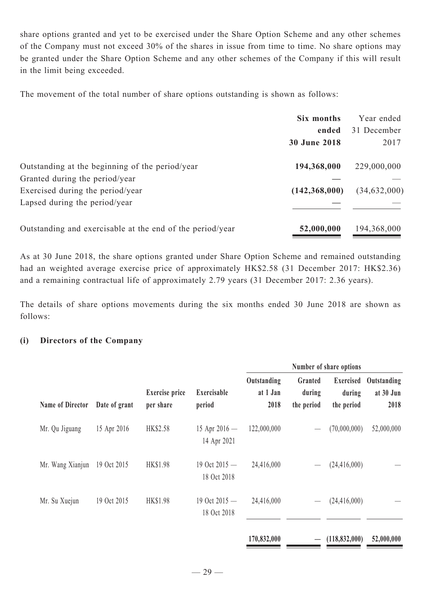share options granted and yet to be exercised under the Share Option Scheme and any other schemes of the Company must not exceed 30% of the shares in issue from time to time. No share options may be granted under the Share Option Scheme and any other schemes of the Company if this will result in the limit being exceeded.

The movement of the total number of share options outstanding is shown as follows:

|                                                           | Six months          | Year ended     |
|-----------------------------------------------------------|---------------------|----------------|
|                                                           | ended               | 31 December    |
|                                                           | <b>30 June 2018</b> | 2017           |
| Outstanding at the beginning of the period/year           | 194,368,000         | 229,000,000    |
| Granted during the period/year                            |                     |                |
| Exercised during the period/year                          | (142, 368, 000)     | (34, 632, 000) |
| Lapsed during the period/year                             |                     |                |
| Outstanding and exercisable at the end of the period/year | 52,000,000          | 194,368,000    |

As at 30 June 2018, the share options granted under Share Option Scheme and remained outstanding had an weighted average exercise price of approximately HK\$2.58 (31 December 2017: HK\$2.36) and a remaining contractual life of approximately 2.79 years (31 December 2017: 2.36 years).

The details of share options movements during the six months ended 30 June 2018 are shown as follows:

## **(i) Directors of the Company**

| <b>Name of Director</b> | Date of grant |                                    |                                | Number of share options         |                                 |                                   |                                  |
|-------------------------|---------------|------------------------------------|--------------------------------|---------------------------------|---------------------------------|-----------------------------------|----------------------------------|
|                         |               | <b>Exercise</b> price<br>per share | Exercisable<br>period          | Outstanding<br>at 1 Jan<br>2018 | Granted<br>during<br>the period | Exercised<br>during<br>the period | Outstanding<br>at 30 Jun<br>2018 |
| Mr. Qu Jiguang          | 15 Apr 2016   | HK\$2.58                           | 15 Apr $2016 -$<br>14 Apr 2021 | 122,000,000                     |                                 | (70,000,000)                      | 52,000,000                       |
| Mr. Wang Xianjun        | 19 Oct 2015   | <b>HK\$1.98</b>                    | 19 Oct 2015 -<br>18 Oct 2018   | 24,416,000                      |                                 | (24, 416, 000)                    |                                  |
| Mr. Su Xuejun           | 19 Oct 2015   | <b>HK\$1.98</b>                    | 19 Oct $2015 -$<br>18 Oct 2018 | 24,416,000                      |                                 | (24, 416, 000)                    |                                  |
|                         |               |                                    |                                | 170,832,000                     |                                 | (118, 832, 000)                   | 52,000,000                       |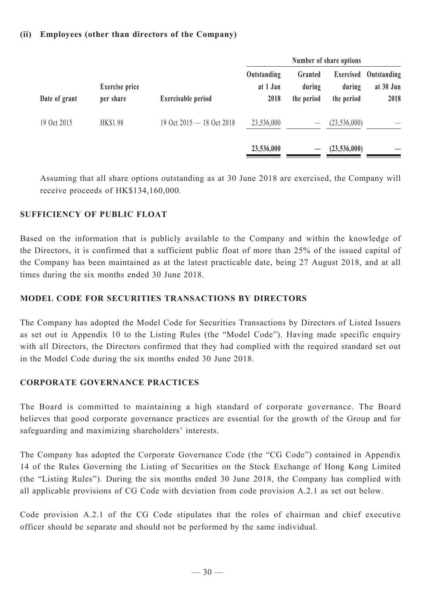# **(ii) Employees (other than directors of the Company)**

|               |                                    |                               |                                 |                                 | Number of share options           |                                  |
|---------------|------------------------------------|-------------------------------|---------------------------------|---------------------------------|-----------------------------------|----------------------------------|
| Date of grant | <b>Exercise</b> price<br>per share | <b>Exercisable period</b>     | Outstanding<br>at 1 Jan<br>2018 | Granted<br>during<br>the period | Exercised<br>during<br>the period | Outstanding<br>at 30 Jun<br>2018 |
| 19 Oct 2015   | <b>HK\$1.98</b>                    | 19 Oct $2015 - 18$ Oct $2018$ | 23,536,000                      |                                 | (23, 536, 000)                    |                                  |
|               |                                    |                               | 23,536,000                      |                                 | (23,536,000)                      |                                  |

Assuming that all share options outstanding as at 30 June 2018 are exercised, the Company will receive proceeds of HK\$134,160,000.

# **SUFFICIENCY OF PUBLIC FLOAT**

Based on the information that is publicly available to the Company and within the knowledge of the Directors, it is confirmed that a sufficient public float of more than 25% of the issued capital of the Company has been maintained as at the latest practicable date, being 27 August 2018, and at all times during the six months ended 30 June 2018.

# **Model Code for Securities Transactions by Directors**

The Company has adopted the Model Code for Securities Transactions by Directors of Listed Issuers as set out in Appendix 10 to the Listing Rules (the "Model Code"). Having made specific enquiry with all Directors, the Directors confirmed that they had complied with the required standard set out in the Model Code during the six months ended 30 June 2018.

# **Corporate Governance Practices**

The Board is committed to maintaining a high standard of corporate governance. The Board believes that good corporate governance practices are essential for the growth of the Group and for safeguarding and maximizing shareholders' interests.

The Company has adopted the Corporate Governance Code (the "CG Code") contained in Appendix 14 of the Rules Governing the Listing of Securities on the Stock Exchange of Hong Kong Limited (the "Listing Rules"). During the six months ended 30 June 2018, the Company has complied with all applicable provisions of CG Code with deviation from code provision A.2.1 as set out below.

Code provision A.2.1 of the CG Code stipulates that the roles of chairman and chief executive officer should be separate and should not be performed by the same individual.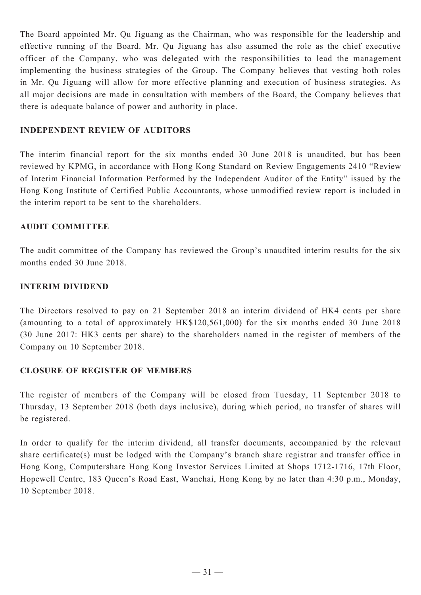The Board appointed Mr. Qu Jiguang as the Chairman, who was responsible for the leadership and effective running of the Board. Mr. Qu Jiguang has also assumed the role as the chief executive officer of the Company, who was delegated with the responsibilities to lead the management implementing the business strategies of the Group. The Company believes that vesting both roles in Mr. Qu Jiguang will allow for more effective planning and execution of business strategies. As all major decisions are made in consultation with members of the Board, the Company believes that there is adequate balance of power and authority in place.

# **INDEPENDENT REVIEW OF AUDITORS**

The interim financial report for the six months ended 30 June 2018 is unaudited, but has been reviewed by KPMG, in accordance with Hong Kong Standard on Review Engagements 2410 "Review of Interim Financial Information Performed by the Independent Auditor of the Entity" issued by the Hong Kong Institute of Certified Public Accountants, whose unmodified review report is included in the interim report to be sent to the shareholders.

# **AUDIT COMMITTEE**

The audit committee of the Company has reviewed the Group's unaudited interim results for the six months ended 30 June 2018.

# **INTERIM DIVIDEND**

The Directors resolved to pay on 21 September 2018 an interim dividend of HK4 cents per share (amounting to a total of approximately HK\$120,561,000) for the six months ended 30 June 2018 (30 June 2017: HK3 cents per share) to the shareholders named in the register of members of the Company on 10 September 2018.

# **CLOSURE OF REGISTER OF MEMBERS**

The register of members of the Company will be closed from Tuesday, 11 September 2018 to Thursday, 13 September 2018 (both days inclusive), during which period, no transfer of shares will be registered.

In order to qualify for the interim dividend, all transfer documents, accompanied by the relevant share certificate(s) must be lodged with the Company's branch share registrar and transfer office in Hong Kong, Computershare Hong Kong Investor Services Limited at Shops 1712-1716, 17th Floor, Hopewell Centre, 183 Queen's Road East, Wanchai, Hong Kong by no later than 4:30 p.m., Monday, 10 September 2018.